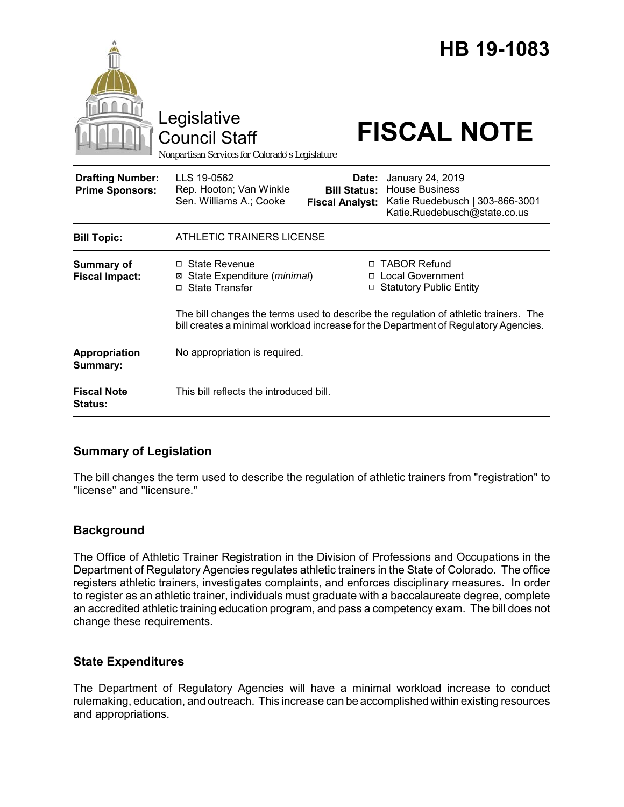|                                                   | Legislative<br><b>Council Staff</b><br>Nonpartisan Services for Colorado's Legislature |                                                        | HB 19-1083<br><b>FISCAL NOTE</b>                                                                                                                                    |  |
|---------------------------------------------------|----------------------------------------------------------------------------------------|--------------------------------------------------------|---------------------------------------------------------------------------------------------------------------------------------------------------------------------|--|
| <b>Drafting Number:</b><br><b>Prime Sponsors:</b> | LLS 19-0562<br>Rep. Hooton; Van Winkle<br>Sen. Williams A.; Cooke                      | Date:<br><b>Bill Status:</b><br><b>Fiscal Analyst:</b> | January 24, 2019<br><b>House Business</b><br>Katie Ruedebusch   303-866-3001<br>Katie.Ruedebusch@state.co.us                                                        |  |
| <b>Bill Topic:</b>                                | <b>ATHLETIC TRAINERS LICENSE</b>                                                       |                                                        |                                                                                                                                                                     |  |
| Summary of<br><b>Fiscal Impact:</b>               | □ State Revenue<br>State Expenditure (minimal)<br>⊠<br><b>State Transfer</b><br>$\Box$ | $\Box$                                                 | □ TABOR Refund<br><b>Local Government</b><br><b>Statutory Public Entity</b><br>The bill changes the terms used to describe the regulation of athletic trainers. The |  |
| Appropriation<br>Summary:                         | No appropriation is required.                                                          |                                                        | bill creates a minimal workload increase for the Department of Regulatory Agencies.                                                                                 |  |
| <b>Fiscal Note</b><br><b>Status:</b>              | This bill reflects the introduced bill.                                                |                                                        |                                                                                                                                                                     |  |

# **Summary of Legislation**

The bill changes the term used to describe the regulation of athletic trainers from "registration" to "license" and "licensure."

### **Background**

The Office of Athletic Trainer Registration in the Division of Professions and Occupations in the Department of Regulatory Agencies regulates athletic trainers in the State of Colorado. The office registers athletic trainers, investigates complaints, and enforces disciplinary measures. In order to register as an athletic trainer, individuals must graduate with a baccalaureate degree, complete an accredited athletic training education program, and pass a competency exam. The bill does not change these requirements.

### **State Expenditures**

The Department of Regulatory Agencies will have a minimal workload increase to conduct rulemaking, education, and outreach. This increase can be accomplished within existing resources and appropriations.